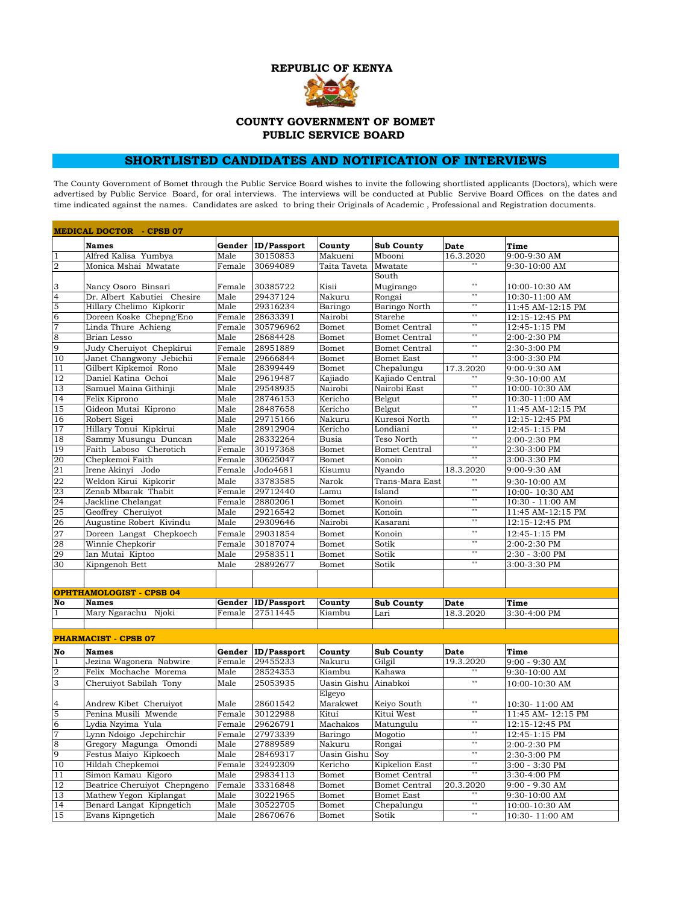

## **COUNTY GOVERNMENT OF BOMET PUBLIC SERVICE BOARD**

## **SHORTLISTED CANDIDATES AND NOTIFICATION OF INTERVIEWS**

The County Government of Bomet through the Public Service Board wishes to invite the following shortlisted applicants (Doctors), which were advertised by Public Service Board, for oral interviews. The interviews will be conducted at Public Servive Board Offices on the dates and time indicated against the names. Candidates are asked to bring their Originals of Academic , Professional and Registration documents.

| <b>MEDICAL DOCTOR - CPSB 07</b> |                                 |                |                    |                              |                      |                               |                    |  |
|---------------------------------|---------------------------------|----------------|--------------------|------------------------------|----------------------|-------------------------------|--------------------|--|
|                                 | <b>Names</b>                    |                | Gender ID/Passport | County                       | <b>Sub County</b>    | <b>Date</b>                   | Time               |  |
| $\mathbf{1}$                    | Alfred Kalisa Yumbya            | Male           | 30150853           | Makueni                      | Mbooni               | $16.\overline{3.2020}$        | 9:00-9:30 AM       |  |
| $\overline{2}$                  | Monica Mshai Mwatate            | Female         | 30694089           | Taita Taveta                 | Mwatate              |                               | 9:30-10:00 AM      |  |
|                                 |                                 |                |                    |                              | South                |                               |                    |  |
| 3                               | Nancy Osoro Binsari             | Female         | 30385722           | Kisii                        | Mugirango            | 1111                          | 10:00-10:30 AM     |  |
| $\overline{4}$                  | Dr. Albert Kabutiei Chesire     | Male           | 29437124           | Nakuru                       | Rongai               | $^{\prime\prime\prime\prime}$ | 10:30-11:00 AM     |  |
| 5                               | Hillary Chelimo Kipkorir        | Male           | 29316234           | Baringo                      | Baringo North        | $\overline{1111}$             | 11:45 AM-12:15 PM  |  |
| 6                               | Doreen Koske Chepng'Eno         | Female         | 28633391           | Nairobi                      | Starehe              | $\overline{\mathfrak{m}}$     | 12:15-12:45 PM     |  |
| $\overline{7}$                  | Linda Thure Achieng             | Female         | 305796962          | Bomet                        | <b>Bomet Central</b> | $\overline{1111}$             | 12:45-1:15 PM      |  |
| $\frac{8}{9}$                   | Brian Lesso                     | Male           | 28684428           | Bomet                        | <b>Bomet Central</b> | $\overline{1111}$             | 2:00-2:30 PM       |  |
|                                 | Judy Cheruiyot Chepkirui        | Female         | 28951889           | Bomet                        | <b>Bomet Central</b> | $\mathbf{H}$                  | 2:30-3:00 PM       |  |
| 10                              | Janet Changwony Jebichii        | Female         | 29666844           | Bomet                        | <b>Bomet East</b>    | $\mathbf{m}$                  | 3:00-3:30 PM       |  |
| 11                              | Gilbert Kipkemoi Rono           | Male           | 28399449           | Bomet                        | Chepalungu           | 17.3.2020                     | 9:00-9:30 AM       |  |
| 12                              | Daniel Katina Ochoi             | Male           | 29619487           | Kajiado                      | Kajiado Central      |                               | 9:30-10:00 AM      |  |
| 13                              | Samuel Maina Githinji           | Male           | 29548935           | Nairobi                      | Nairobi East         | $\overline{1111}$             | 10:00-10:30 AM     |  |
| 14                              | Felix Kiprono                   | Male           | 28746153           | Kericho                      | Belgut               | $\overline{1111}$             | 10:30-11:00 AM     |  |
| 15                              | Gideon Mutai Kiprono            | Male           | 28487658           | Kericho                      | Belgut               | $\overline{1111}$             | 11:45 AM-12:15 PM  |  |
| 16                              | Robert Sigei                    | Male           | 29715166           | Nakuru                       | Kuresoi North        | Ŧ                             | 12:15-12:45 PM     |  |
| 17                              | Hillary Tonui Kipkirui          | Male           | 28912904           | Kericho                      | Londiani             | $\mathbf{m}$                  | 12:45-1:15 PM      |  |
| 18                              | Sammy Musungu Duncan            | Male           | 28332264           | $\overline{\mathrm{B}}$ usia | Teso North           | $\mathbf{u}$                  | 2:00-2:30 PM       |  |
| 19                              | Faith Laboso Cherotich          | Female         | 30197368           | Bomet                        | <b>Bomet Central</b> | $\mathbf{H}$                  | 2:30-3:00 PM       |  |
| 20                              | Chepkemoi Faith                 | Female         | 30625047           | Bomet                        | Konoin               | 1111                          | 3:00-3:30 PM       |  |
| 21                              | Irene Akinyi Jodo               | Female         | Jodo4681           | Kisumu                       | Nyando               | 18.3.2020                     | 9:00-9:30 AM       |  |
| 22                              | Weldon Kirui Kipkorir           | Male           | 33783585           | Narok                        | Trans-Mara East      | $\mathbf{u}$                  | 9:30-10:00 AM      |  |
| 23                              | Zenab Mbarak Thabit             | Female         | 29712440           | Lamu                         | Island               | $\overline{1111}$             | 10:00-10:30 AM     |  |
| 24                              | Jackline Chelangat              | Female         | 28802061           | Bomet                        | Konoin               | $\overline{\mathfrak{m}}$     | $10:30 - 11:00$ AM |  |
| 25                              | Geoffrey Cheruiyot              | Male           | 29216542           | Bomet                        | Konoin               | $\overline{\mathfrak{m}}$     | 11:45 AM-12:15 PM  |  |
| 26                              | Augustine Robert Kivindu        | Male           | 29309646           | Nairobi                      | Kasarani             | $\overline{1111}$             | 12:15-12:45 PM     |  |
| 27                              | Doreen Langat Chepkoech         | Female         | 29031854           | Bomet                        | Konoin               | $\mathbf{H}$                  | 12:45-1:15 PM      |  |
| 28                              | Winnie Chepkorir                | Female         | 30187074           | Bomet                        | Sotik                | $\overline{1111}$             | 2:00-2:30 PM       |  |
| 29                              | Ian Mutai Kiptoo                | Male           | 29583511           | Bomet                        | Sotik                | $\overline{1111}$             | 2:30 - 3:00 PM     |  |
| 30                              | Kipngenoh Bett                  | Male           | 28892677           | Bomet                        | Sotik                | $\overline{1111}$             | 3:00-3:30 PM       |  |
|                                 |                                 |                |                    |                              |                      |                               |                    |  |
|                                 |                                 |                |                    |                              |                      |                               |                    |  |
|                                 | <b>OPHTHAMOLOGIST - CPSB 04</b> |                |                    |                              |                      |                               |                    |  |
| No                              | <b>Names</b>                    | Gender         | <b>ID/Passport</b> | County                       | <b>Sub County</b>    | Date                          | Time               |  |
| $\mathbf{1}$                    | Mary Ngarachu Njoki             | Female         | 27511445           | Kiambu                       | Lari                 | 18.3.2020                     | 3:30-4:00 PM       |  |
|                                 |                                 |                |                    |                              |                      |                               |                    |  |
|                                 | <b>PHARMACIST - CPSB 07</b>     |                |                    |                              |                      |                               |                    |  |
| No                              | <b>Names</b>                    | Gender         | <b>ID/Passport</b> | County                       | <b>Sub County</b>    | <b>Date</b>                   | Time               |  |
| $\mathbf{1}$                    | Jezina Wagonera Nabwire         | Female         | 29455233           | Nakuru                       | Gilgil               | 19.3.2020                     | 9:00 - 9:30 AM     |  |
| $\overline{\mathbf{c}}$         | Felix Mochache Morema           | Male           | 28524353           | Kiambu                       | Kahawa               |                               | 9:30-10:00 AM      |  |
| $\overline{3}$                  | Cheruiyot Sabilah Tony          | Male           | 25053935           | Uasin Gishu Ainabkoi         |                      | $\mathbf{H}$                  | 10:00-10:30 AM     |  |
|                                 |                                 |                |                    | Elgeyo                       |                      |                               |                    |  |
| 4                               | Andrew Kibet Cheruiyot          | Male           | 28601542           | Marakwet                     | Keiyo South          | $\mathbf{H}$                  | 10:30-11:00 AM     |  |
| 5                               | Penina Musili Mwende            | Female         | 30122988           | Kitui                        | Kitui West           | $\overline{1111}$             | 11:45 AM- 12:15 PM |  |
| $\overline{6}$                  | Lydia Nzyima Yula               | Female         | 29626791           | Machakos                     | Matungulu            | $\overline{1111}$             | 12:15-12:45 PM     |  |
| 7                               | Lynn Ndoigo Jepchirchir         |                | 27973339           |                              |                      |                               | $12:45-1:15$ PM    |  |
|                                 | Gregory Magunga Omondi          | Female<br>Male | 27889589           | Baringo<br>Nakuru            | MOGOUO<br>Rongai     | Ŧ                             | 2:00-2:30 PM       |  |
| $\frac{8}{9}$                   | Festus Maiyo Kipkoech           | Male           | 28469317           | Uasin Gishu                  | Soy                  | $\mathbf{u}$                  | 2:30-3:00 PM       |  |
| 10                              | Hildah Chepkemoi                | Female         | 32492309           | Kericho                      | Kipkelion East       | $\mathbf{u}$                  | 3:00 - 3:30 PM     |  |
| 11                              | Simon Kamau Kigoro              | Male           | 29834113           | Bomet                        | <b>Bomet Central</b> | $\overline{1}$                | 3:30-4:00 PM       |  |
| 12                              | Beatrice Cheruiyot Chepngeno    | Female         | 33316848           | Bomet                        | <b>Bomet Central</b> | 20.3.2020                     | 9:00 - 9.30 AM     |  |
| 13                              | Mathew Yegon Kiplangat          | Male           | 30221965           | Bomet                        | <b>Bomet East</b>    |                               | 9:30-10:00 AM      |  |
| 14                              | Benard Langat Kipngetich        | Male           | 30522705           | Bomet                        | Chepalungu           | $^{\rm{nn}}$                  | 10:00-10:30 AM     |  |
| 15                              | Evans Kipngetich                | Male           | 28670676           | Bomet                        | Sotik                | $^{\rm{nn}}$                  | 10:30-11:00 AM     |  |
|                                 |                                 |                |                    |                              |                      |                               |                    |  |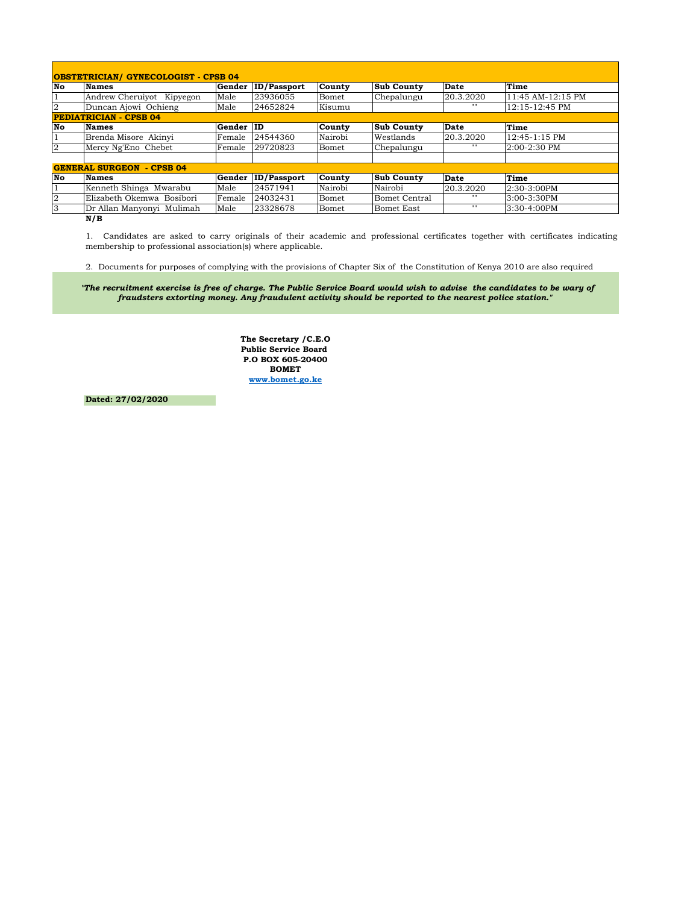| <b>OBSTETRICIAN/ GYNECOLOGIST - CPSB 04</b> |                           |           |                    |               |                      |             |                   |  |  |  |
|---------------------------------------------|---------------------------|-----------|--------------------|---------------|----------------------|-------------|-------------------|--|--|--|
| No                                          | <b>Names</b>              | Gender    | <b>ID/Passport</b> | County        | <b>Sub County</b>    | <b>Date</b> | Time              |  |  |  |
| $\mathbf{1}$                                | Andrew Cheruiyot Kipyegon | Male      | 23936055           | Bomet         | Chepalungu           | 20.3.2020   | 11:45 AM-12:15 PM |  |  |  |
| $\overline{2}$                              | Duncan Ajowi Ochieng      | Male      | 24652824           | Kisumu        |                      | 1111        | 12:15-12:45 PM    |  |  |  |
| <b>PEDIATRICIAN - CPSB 04</b>               |                           |           |                    |               |                      |             |                   |  |  |  |
| No                                          | <b>Names</b>              | Gender ID |                    | <b>County</b> | <b>Sub County</b>    | <b>Date</b> | Time              |  |  |  |
| $\mathbf{1}$                                | Brenda Misore Akinyi      | Female    | 24544360           | Nairobi       | Westlands            | 20.3.2020   | $12:45-1:15$ PM   |  |  |  |
| $\overline{2}$                              | Mercy Ng'Eno Chebet       | Female    | 29720823           | Bomet         | Chepalungu           | 1111        | 2:00-2:30 PM      |  |  |  |
|                                             |                           |           |                    |               |                      |             |                   |  |  |  |
| <b>GENERAL SURGEON - CPSB 04</b>            |                           |           |                    |               |                      |             |                   |  |  |  |
| No                                          | <b>Names</b>              | Gender    | <b>ID/Passport</b> | County        | <b>Sub County</b>    | <b>Date</b> | Time              |  |  |  |
| $\mathbf{1}$                                | Kenneth Shinga Mwarabu    | Male      | 24571941           | Nairobi       | Nairobi              | 20.3.2020   | 2:30-3:00PM       |  |  |  |
| $\overline{2}$                              | Elizabeth Okemwa Bosibori | Female    | 24032431           | Bomet         | <b>Bomet Central</b> | 1111        | 3:00-3:30PM       |  |  |  |
| 3                                           | Dr Allan Manyonyi Mulimah | Male      | 23328678           | Bomet         | Bomet East           | 1111        | 3:30-4:00PM       |  |  |  |
|                                             | N/B                       |           |                    |               |                      |             |                   |  |  |  |

1. Candidates are asked to carry originals of their academic and professional certificates together with certificates indicating membership to professional association(s) where applicable.

2. Documents for purposes of complying with the provisions of Chapter Six of the Constitution of Kenya 2010 are also required

 *"The recruitment exercise is free of charge. The Public Service Board would wish to advise the candidates to be wary of fraudsters extorting money. Any fraudulent activity should be reported to the nearest police station."*

> **The Secretary /C.E.O Public Service Board P.O BOX 605-20400 BOMET www.bomet.go.ke**

**Dated: 27/02/2020**